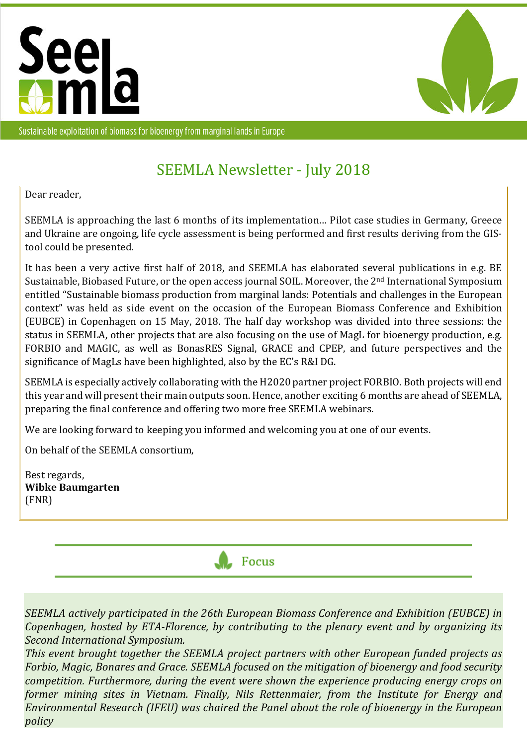



Sustainable exploitation of biomass for bioenergy from marginal lands in Europe

# SEEMLA Newsletter - July 2018

Dear reader,

SEEMLA is approaching the last 6 months of its implementation… Pilot case studies in Germany, Greece and Ukraine are ongoing, life cycle assessment is being performed and first results deriving from the GIStool could be presented.

It has been a very active first half of 2018, and SEEMLA has elaborated several publications in e.g. BE Sustainable, Biobased Future, or the open access journal SOIL. Moreover, the 2<sup>nd</sup> International Symposium entitled "Sustainable biomass production from marginal lands: Potentials and challenges in the European context" was held as side event on the occasion of the European Biomass Conference and Exhibition (EUBCE) in Copenhagen on 15 May, 2018. The half day workshop was divided into three sessions: the status in SEEMLA, other projects that are also focusing on the use of MagL for bioenergy production, e.g. FORBIO and MAGIC, as well as BonasRES Signal, GRACE and CPEP, and future perspectives and the significance of MagLs have been highlighted, also by the EC's R&I DG.

SEEMLA is especially actively collaborating with the H2020 partner project FORBIO. Both projects will end this year and will present their main outputs soon. Hence, another exciting 6 months are ahead of SEEMLA, preparing the final conference and offering two more free SEEMLA webinars.

We are looking forward to keeping you informed and welcoming you at one of our events.

On behalf of the SEEMLA consortium,

Best regards, **Wibke Baumgarten**  (FNR)



*SEEMLA actively participated in the 26th European Biomass Conference and Exhibition (EUBCE) in Copenhagen, hosted by ETA-Florence, by contributing to the plenary event and by organizing its Second International Symposium.* 

*This event brought together the SEEMLA project partners with other European funded projects as Forbio, Magic, Bonares and Grace. SEEMLA focused on the mitigation of bioenergy and food security competition. Furthermore, during the event were shown the experience producing energy crops on former mining sites in Vietnam. Finally, Nils Rettenmaier, from the Institute for Energy and Environmental Research (IFEU) was chaired the Panel about the role of bioenergy in the European policy*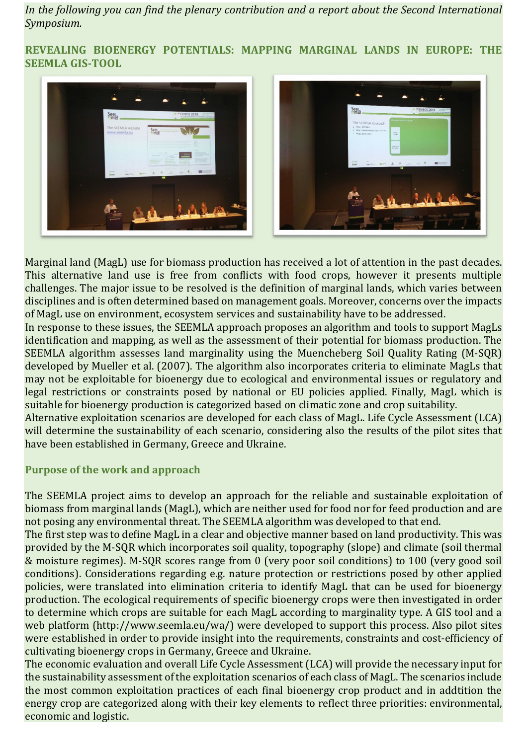*In the following you can find the plenary contribution and a report about the Second International Symposium.* 

**REVEALING BIOENERGY POTENTIALS: MAPPING MARGINAL LANDS IN EUROPE: THE SEEMLA GIS-TOOL** 





Marginal land (MagL) use for biomass production has received a lot of attention in the past decades. This alternative land use is free from conflicts with food crops, however it presents multiple challenges. The major issue to be resolved is the definition of marginal lands, which varies between disciplines and is often determined based on management goals. Moreover, concerns over the impacts of MagL use on environment, ecosystem services and sustainability have to be addressed.

In response to these issues, the SEEMLA approach proposes an algorithm and tools to support MagLs identification and mapping, as well as the assessment of their potential for biomass production. The SEEMLA algorithm assesses land marginality using the Muencheberg Soil Quality Rating (M-SQR) developed by Mueller et al. (2007). The algorithm also incorporates criteria to eliminate MagLs that may not be exploitable for bioenergy due to ecological and environmental issues or regulatory and legal restrictions or constraints posed by national or EU policies applied. Finally, MagL which is suitable for bioenergy production is categorized based on climatic zone and crop suitability.

Alternative exploitation scenarios are developed for each class of MagL. Life Cycle Assessment (LCA) will determine the sustainability of each scenario, considering also the results of the pilot sites that have been established in Germany, Greece and Ukraine.

### **Purpose of the work and approach**

The SEEMLA project aims to develop an approach for the reliable and sustainable exploitation of biomass from marginal lands (MagL), which are neither used for food nor for feed production and are not posing any environmental threat. The SEEMLA algorithm was developed to that end.

The first step was to define MagL in a clear and objective manner based on land productivity. This was provided by the M-SQR which incorporates soil quality, topography (slope) and climate (soil thermal & moisture regimes). M-SQR scores range from 0 (very poor soil conditions) to 100 (very good soil conditions). Considerations regarding e.g. nature protection or restrictions posed by other applied policies, were translated into elimination criteria to identify MagL that can be used for bioenergy production. The ecological requirements of specific bioenergy crops were then investigated in order to determine which crops are suitable for each MagL according to marginality type. A GIS tool and a web platform (http://www.seemla.eu/wa/) were developed to support this process. Also pilot sites were established in order to provide insight into the requirements, constraints and cost-efficiency of cultivating bioenergy crops in Germany, Greece and Ukraine.

The economic evaluation and overall Life Cycle Assessment (LCA) will provide the necessary input for the sustainability assessment of the exploitation scenarios of each class of MagL. The scenarios include the most common exploitation practices of each final bioenergy crop product and in addtition the energy crop are categorized along with their key elements to reflect three priorities: environmental, economic and logistic.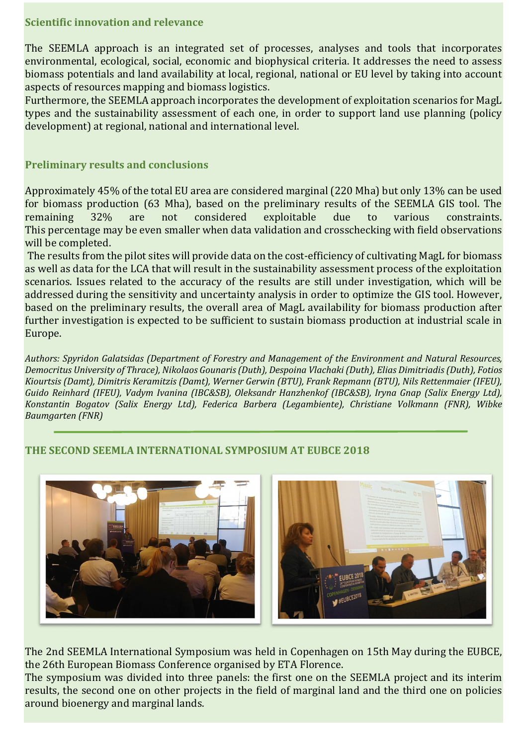#### **Scientific innovation and relevance**

The SEEMLA approach is an integrated set of processes, analyses and tools that incorporates environmental, ecological, social, economic and biophysical criteria. It addresses the need to assess biomass potentials and land availability at local, regional, national or EU level by taking into account aspects of resources mapping and biomass logistics.

Furthermore, the SEEMLA approach incorporates the development of exploitation scenarios for MagL types and the sustainability assessment of each one, in order to support land use planning (policy development) at regional, national and international level.

#### **Preliminary results and conclusions**

Approximately 45% of the total EU area are considered marginal (220 Mha) but only 13% can be used for biomass production (63 Mha), based on the preliminary results of the SEEMLA GIS tool. The remaining 32% are not considered exploitable due to various constraints. This percentage may be even smaller when data validation and crosschecking with field observations will be completed.

 The results from the pilot sites will provide data on the cost-efficiency of cultivating MagL for biomass as well as data for the LCA that will result in the sustainability assessment process of the exploitation scenarios. Issues related to the accuracy of the results are still under investigation, which will be addressed during the sensitivity and uncertainty analysis in order to optimize the GIS tool. However, based on the preliminary results, the overall area of MagL availability for biomass production after further investigation is expected to be sufficient to sustain biomass production at industrial scale in Europe.

*Authors: Spyridon Galatsidas (Department of Forestry and Management of the Environment and Natural Resources, Democritus University of Thrace), Nikolaos Gounaris (Duth), Despoina Vlachaki (Duth), Elias Dimitriadis (Duth), Fotios Kiourtsis (Damt), Dimitris Keramitzis (Damt), Werner Gerwin (BTU), Frank Repmann (BTU), Nils Rettenmaier (IFEU), Guido Reinhard (IFEU), Vadym Ivanina (IBC&SB), Oleksandr Hanzhenkof (IBC&SB), Iryna Gnap (Salix Energy Ltd), Konstantin Bogatov (Salix Energy Ltd), Federica Barbera (Legambiente), Christiane Volkmann (FNR), Wibke Baumgarten (FNR)* 

### **THE SECOND SEEMLA INTERNATIONAL SYMPOSIUM AT EUBCE 2018**



The 2nd SEEMLA International Symposium was held in Copenhagen on 15th May during the EUBCE, the 26th European Biomass Conference organised by ETA Florence.

The symposium was divided into three panels: the first one on the SEEMLA project and its interim results, the second one on other projects in the field of marginal land and the third one on policies around bioenergy and marginal lands.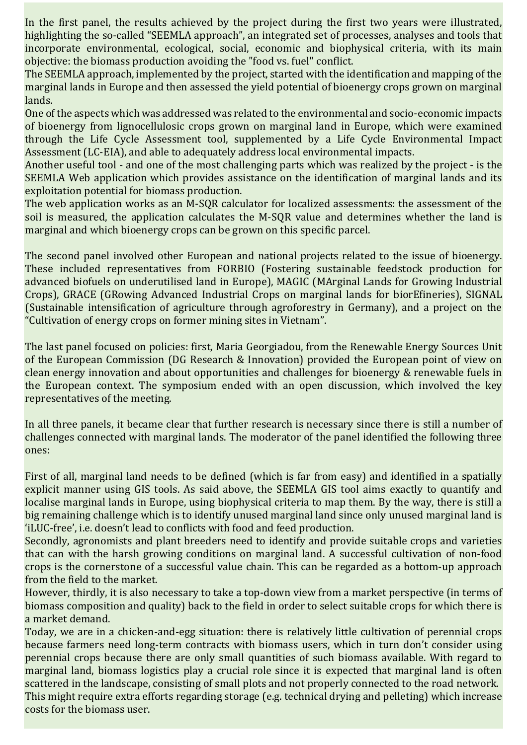In the first panel, the results achieved by the project during the first two years were illustrated, highlighting the so-called "SEEMLA approach", an integrated set of processes, analyses and tools that incorporate environmental, ecological, social, economic and biophysical criteria, with its main objective: the biomass production avoiding the "food vs. fuel" conflict.

The SEEMLA approach, implemented by the project, started with the identification and mapping of the marginal lands in Europe and then assessed the yield potential of bioenergy crops grown on marginal lands.

One of the aspects which was addressed was related to the environmental and socio-economic impacts of bioenergy from lignocellulosic crops grown on marginal land in Europe, which were examined through the Life Cycle Assessment tool, supplemented by a Life Cycle Environmental Impact Assessment (LC-EIA), and able to adequately address local environmental impacts.

Another useful tool - and one of the most challenging parts which was realized by the project - is the SEEMLA Web application which provides assistance on the identification of marginal lands and its exploitation potential for biomass production.

The web application works as an M-SQR calculator for localized assessments: the assessment of the soil is measured, the application calculates the M-SQR value and determines whether the land is marginal and which bioenergy crops can be grown on this specific parcel.

The second panel involved other European and national projects related to the issue of bioenergy. These included representatives from FORBIO (Fostering sustainable feedstock production for advanced biofuels on underutilised land in Europe), MAGIC (MArginal Lands for Growing Industrial Crops), GRACE (GRowing Advanced Industrial Crops on marginal lands for biorEfineries), SIGNAL (Sustainable intensification of agriculture through agroforestry in Germany), and a project on the "Cultivation of energy crops on former mining sites in Vietnam".

The last panel focused on policies: first, Maria Georgiadou, from the Renewable Energy Sources Unit of the European Commission (DG Research & Innovation) provided the European point of view on clean energy innovation and about opportunities and challenges for bioenergy & renewable fuels in the European context. The symposium ended with an open discussion, which involved the key representatives of the meeting.

In all three panels, it became clear that further research is necessary since there is still a number of challenges connected with marginal lands. The moderator of the panel identified the following three ones:

First of all, marginal land needs to be defined (which is far from easy) and identified in a spatially explicit manner using GIS tools. As said above, the SEEMLA GIS tool aims exactly to quantify and localise marginal lands in Europe, using biophysical criteria to map them. By the way, there is still a big remaining challenge which is to identify unused marginal land since only unused marginal land is 'iLUC-free', i.e. doesn't lead to conflicts with food and feed production.

Secondly, agronomists and plant breeders need to identify and provide suitable crops and varieties that can with the harsh growing conditions on marginal land. A successful cultivation of non-food crops is the cornerstone of a successful value chain. This can be regarded as a bottom-up approach from the field to the market.

However, thirdly, it is also necessary to take a top-down view from a market perspective (in terms of biomass composition and quality) back to the field in order to select suitable crops for which there is a market demand.

Today, we are in a chicken-and-egg situation: there is relatively little cultivation of perennial crops because farmers need long-term contracts with biomass users, which in turn don't consider using perennial crops because there are only small quantities of such biomass available. With regard to marginal land, biomass logistics play a crucial role since it is expected that marginal land is often scattered in the landscape, consisting of small plots and not properly connected to the road network. This might require extra efforts regarding storage (e.g. technical drying and pelleting) which increase costs for the biomass user.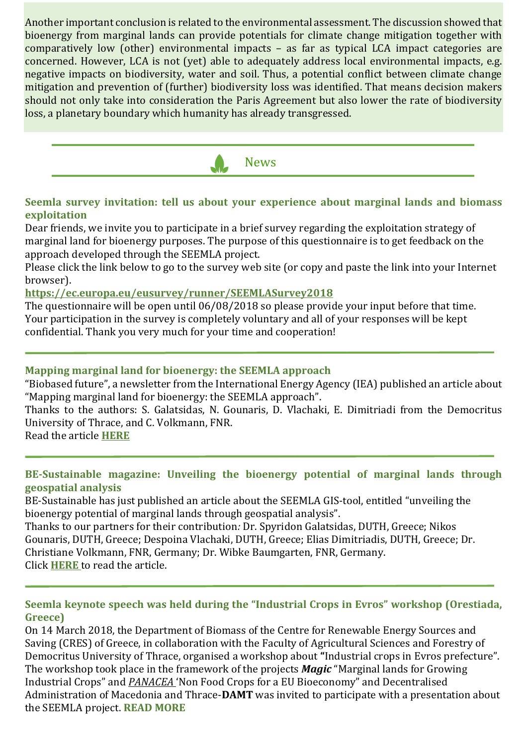Another important conclusion is related to the environmental assessment. The discussion showed that bioenergy from marginal lands can provide potentials for climate change mitigation together with comparatively low (other) environmental impacts – as far as typical LCA impact categories are concerned. However, LCA is not (yet) able to adequately address local environmental impacts, e.g. negative impacts on biodiversity, water and soil. Thus, a potential conflict between climate change mitigation and prevention of (further) biodiversity loss was identified. That means decision makers should not only take into consideration the Paris Agreement but also lower the rate of biodiversity loss, a planetary boundary which humanity has already transgressed.



## **Seemla survey invitation: tell us about your experience about marginal lands and biomass exploitation**

Dear friends, we invite you to participate in a brief survey regarding the exploitation strategy of marginal land for bioenergy purposes. The purpose of this questionnaire is to get feedback on the approach developed through the SEEMLA project.

Please click the link below to go to the survey web site (or copy and paste the link into your Internet browser).

**https://ec.europa.eu/eusurvey/runner/SEEMLASurvey2018**

The questionnaire will be open until 06/08/2018 so please provide your input before that time. Your participation in the survey is completely voluntary and all of your responses will be kept confidential. Thank you very much for your time and cooperation!

### **Mapping marginal land for bioenergy: the SEEMLA approach**

"Biobased future", a newsletter from the International Energy Agency (IEA) published an article about "Mapping marginal land for bioenergy: the SEEMLA approach".

Thanks to the authors: S. Galatsidas, N. Gounaris, D. Vlachaki, E. Dimitriadi from the Democritus University of Thrace, and C. Volkmann, FNR.

Read the article **HERE**

## **BE-Sustainable magazine: Unveiling the bioenergy potential of marginal lands through geospatial analysis**

BE-Sustainable has just published an article about the SEEMLA GIS-tool, entitled "unveiling the bioenergy potential of marginal lands through geospatial analysis".

Thanks to our partners for their contribution*:* Dr. Spyridon Galatsidas, DUTH, Greece; Nikos Gounaris, DUTH, Greece; Despoina Vlachaki, DUTH, Greece; Elias Dimitriadis, DUTH, Greece; Dr. Christiane Volkmann, FNR, Germany; Dr. Wibke Baumgarten, FNR, Germany. Click **HERE** to read the article.

### **Seemla keynote speech was held during the "Industrial Crops in Evros" workshop (Orestiada, Greece)**

On 14 March 2018, the Department of Biomass of the Centre for Renewable Energy Sources and Saving (CRES) of Greece, in collaboration with the Faculty of Agricultural Sciences and Forestry of Democritus University of Thrace, organised a workshop about **"**Industrial crops in Evros prefecture". The workshop took place in the framework of the projects *Magic* "Marginal lands for Growing Industrial Crops" and *PANACEA* 'Non Food Crops for a EU Bioeconomy" and Decentralised Administration of Macedonia and Thrace-**DAMT** was invited to participate with a presentation about the SEEMLA project. **READ MORE**